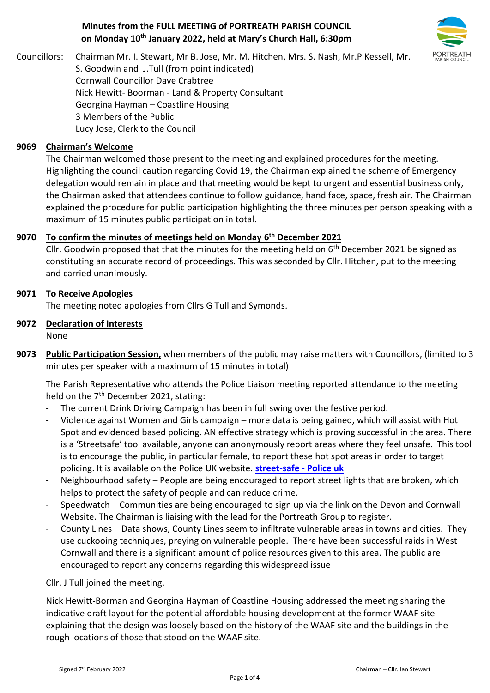### **Minutes from the FULL MEETING of PORTREATH PARISH COUNCIL on Monday 10th January 2022, held at Mary's Church Hall, 6:30pm**



Councillors: Chairman Mr. I. Stewart, Mr B. Jose, Mr. M. Hitchen, Mrs. S. Nash, Mr.P Kessell, Mr. S. Goodwin and J.Tull (from point indicated) Cornwall Councillor Dave Crabtree Nick Hewitt- Boorman - Land & Property Consultant Georgina Hayman – Coastline Housing 3 Members of the Public Lucy Jose, Clerk to the Council

### **9069 Chairman's Welcome**

The Chairman welcomed those present to the meeting and explained procedures for the meeting. Highlighting the council caution regarding Covid 19, the Chairman explained the scheme of Emergency delegation would remain in place and that meeting would be kept to urgent and essential business only, the Chairman asked that attendees continue to follow guidance, hand face, space, fresh air. The Chairman explained the procedure for public participation highlighting the three minutes per person speaking with a maximum of 15 minutes public participation in total.

### **9070 To confirm the minutes of meetings held on Monday 6 th December 2021**

Cllr. Goodwin proposed that that the minutes for the meeting held on  $6<sup>th</sup>$  December 2021 be signed as constituting an accurate record of proceedings. This was seconded by Cllr. Hitchen, put to the meeting and carried unanimously.

### **9071 To Receive Apologies**

The meeting noted apologies from Cllrs G Tull and Symonds.

## **9072 Declaration of Interests**

None

**9073 Public Participation Session,** when members of the public may raise matters with Councillors, (limited to 3 minutes per speaker with a maximum of 15 minutes in total)

The Parish Representative who attends the Police Liaison meeting reported attendance to the meeting held on the 7<sup>th</sup> December 2021, stating:

- The current Drink Driving Campaign has been in full swing over the festive period.
- Violence against Women and Girls campaign more data is being gained, which will assist with Hot Spot and evidenced based policing. AN effective strategy which is proving successful in the area. There is a 'Streetsafe' tool available, anyone can anonymously report areas where they feel unsafe. This tool is to encourage the public, in particular female, to report these hot spot areas in order to target policing. It is available on the Police UK website. **[street-safe -](https://www.police.uk/pu/notices/streetsafe/street-safe/) Police uk**
- Neighbourhood safety People are being encouraged to report street lights that are broken, which helps to protect the safety of people and can reduce crime.
- Speedwatch Communities are being encouraged to sign up via the link on the Devon and Cornwall Website. The Chairman is liaising with the lead for the Portreath Group to register.
- County Lines Data shows, County Lines seem to infiltrate vulnerable areas in towns and cities. They use cuckooing techniques, preying on vulnerable people. There have been successful raids in West Cornwall and there is a significant amount of police resources given to this area. The public are encouraged to report any concerns regarding this widespread issue

#### Cllr. J Tull joined the meeting.

Nick Hewitt-Borman and Georgina Hayman of Coastline Housing addressed the meeting sharing the indicative draft layout for the potential affordable housing development at the former WAAF site explaining that the design was loosely based on the history of the WAAF site and the buildings in the rough locations of those that stood on the WAAF site.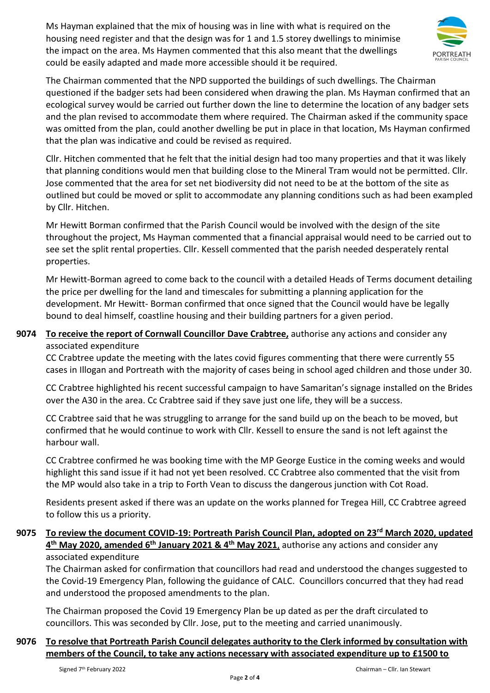Ms Hayman explained that the mix of housing was in line with what is required on the housing need register and that the design was for 1 and 1.5 storey dwellings to minimise the impact on the area. Ms Haymen commented that this also meant that the dwellings could be easily adapted and made more accessible should it be required.



The Chairman commented that the NPD supported the buildings of such dwellings. The Chairman questioned if the badger sets had been considered when drawing the plan. Ms Hayman confirmed that an ecological survey would be carried out further down the line to determine the location of any badger sets and the plan revised to accommodate them where required. The Chairman asked if the community space was omitted from the plan, could another dwelling be put in place in that location, Ms Hayman confirmed that the plan was indicative and could be revised as required.

Cllr. Hitchen commented that he felt that the initial design had too many properties and that it was likely that planning conditions would men that building close to the Mineral Tram would not be permitted. Cllr. Jose commented that the area for set net biodiversity did not need to be at the bottom of the site as outlined but could be moved or split to accommodate any planning conditions such as had been exampled by Cllr. Hitchen.

Mr Hewitt Borman confirmed that the Parish Council would be involved with the design of the site throughout the project, Ms Hayman commented that a financial appraisal would need to be carried out to see set the split rental properties. Cllr. Kessell commented that the parish needed desperately rental properties.

Mr Hewitt-Borman agreed to come back to the council with a detailed Heads of Terms document detailing the price per dwelling for the land and timescales for submitting a planning application for the development. Mr Hewitt- Borman confirmed that once signed that the Council would have be legally bound to deal himself, coastline housing and their building partners for a given period.

## **9074 To receive the report of Cornwall Councillor Dave Crabtree,** authorise any actions and consider any associated expenditure

CC Crabtree update the meeting with the lates covid figures commenting that there were currently 55 cases in Illogan and Portreath with the majority of cases being in school aged children and those under 30.

CC Crabtree highlighted his recent successful campaign to have Samaritan's signage installed on the Brides over the A30 in the area. Cc Crabtree said if they save just one life, they will be a success.

CC Crabtree said that he was struggling to arrange for the sand build up on the beach to be moved, but confirmed that he would continue to work with Cllr. Kessell to ensure the sand is not left against the harbour wall.

CC Crabtree confirmed he was booking time with the MP George Eustice in the coming weeks and would highlight this sand issue if it had not yet been resolved. CC Crabtree also commented that the visit from the MP would also take in a trip to Forth Vean to discuss the dangerous junction with Cot Road.

Residents present asked if there was an update on the works planned for Tregea Hill, CC Crabtree agreed to follow this us a priority.

### **9075 To review the document COVID-19: Portreath Parish Council Plan, adopted on 23rd March 2020, updated 4 th May 2020, amended 6th January 2021 & 4th May 2021**, authorise any actions and consider any associated expenditure

The Chairman asked for confirmation that councillors had read and understood the changes suggested to the Covid-19 Emergency Plan, following the guidance of CALC. Councillors concurred that they had read and understood the proposed amendments to the plan.

The Chairman proposed the Covid 19 Emergency Plan be up dated as per the draft circulated to councillors. This was seconded by Cllr. Jose, put to the meeting and carried unanimously.

## **9076 To resolve that Portreath Parish Council delegates authority to the Clerk informed by consultation with members of the Council, to take any actions necessary with associated expenditure up to £1500 to**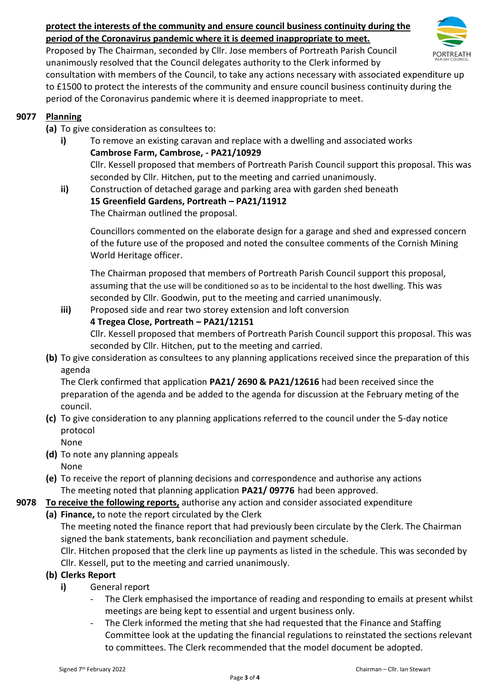# **protect the interests of the community and ensure council business continuity during the period of the Coronavirus pandemic where it is deemed inappropriate to meet.**



Proposed by The Chairman, seconded by Cllr. Jose members of Portreath Parish Council unanimously resolved that the Council delegates authority to the Clerk informed by

consultation with members of the Council, to take any actions necessary with associated expenditure up to £1500 to protect the interests of the community and ensure council business continuity during the period of the Coronavirus pandemic where it is deemed inappropriate to meet.

## **9077 Planning**

- **(a)** To give consideration as consultees to:
	- **i)** To remove an existing caravan and replace with a dwelling and associated works **Cambrose Farm, Cambrose, - PA21/10929** Cllr. Kessell proposed that members of Portreath Parish Council support this proposal. This was seconded by Cllr. Hitchen, put to the meeting and carried unanimously.
	- **ii)** Construction of detached garage and parking area with garden shed beneath **15 Greenfield Gardens, Portreath – PA21/11912** The Chairman outlined the proposal.

Councillors commented on the elaborate design for a garage and shed and expressed concern of the future use of the proposed and noted the consultee comments of the Cornish Mining World Heritage officer.

The Chairman proposed that members of Portreath Parish Council support this proposal, assuming that the use will be conditioned so as to be incidental to the host dwelling. This was seconded by Cllr. Goodwin, put to the meeting and carried unanimously.

**iii)** Proposed side and rear two storey extension and loft conversion

### **4 Tregea Close, Portreath – PA21/12151**

Cllr. Kessell proposed that members of Portreath Parish Council support this proposal. This was seconded by Cllr. Hitchen, put to the meeting and carried.

**(b)** To give consideration as consultees to any planning applications received since the preparation of this agenda

The Clerk confirmed that application **PA21/ 2690 & PA21/12616** had been received since the preparation of the agenda and be added to the agenda for discussion at the February meting of the council.

**(c)** To give consideration to any planning applications referred to the council under the 5-day notice protocol

None

- **(d)** To note any planning appeals None
- **(e)** To receive the report of planning decisions and correspondence and authorise any actions The meeting noted that planning application **PA21/ 09776** had been approved.

# **9078 To receive the following reports,** authorise any action and consider associated expenditure

**(a) Finance,** to note the report circulated by the Clerk

The meeting noted the finance report that had previously been circulate by the Clerk. The Chairman signed the bank statements, bank reconciliation and payment schedule.

Cllr. Hitchen proposed that the clerk line up payments as listed in the schedule. This was seconded by Cllr. Kessell, put to the meeting and carried unanimously.

### **(b) Clerks Report**

- **i)** General report
	- The Clerk emphasised the importance of reading and responding to emails at present whilst meetings are being kept to essential and urgent business only.
	- The Clerk informed the meting that she had requested that the Finance and Staffing Committee look at the updating the financial regulations to reinstated the sections relevant to committees. The Clerk recommended that the model document be adopted.